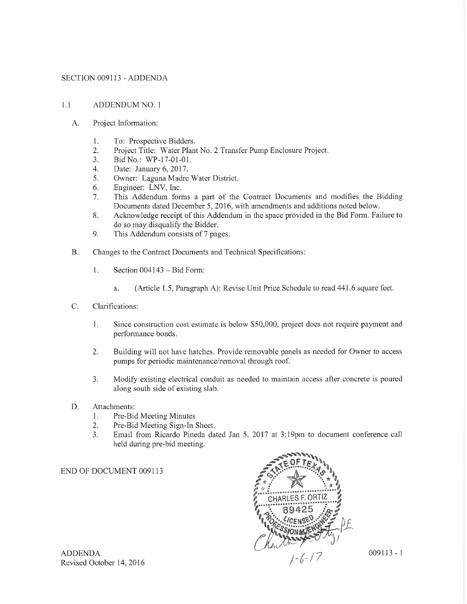#### SECTION 009113 - ADDENDA

#### $1.1$ **ADDENDUM NO. 1**

- A. Project Information:
	- 1. To: Prospective Bidders.
	- 2. Project Title: Water Plant No. 2 Transfer Pump Enclosure Project.
	- Bid No.: WP-17-01-01.  $3.$
	- Date: January 6, 2017.  $4.$
	- Owner: Laguna Madre Water District. 5.
	- Engineer: LNV, Inc. 6.
	- 7. This Addendum forms a part of the Contract Documents and modifies the Bidding Documents dated December 5, 2016, with amendments and additions noted below.
	- 8. Acknowledge receipt of this Addendum in the space provided in the Bid Form. Failure to do so may disqualify the Bidder.
	- This Addendum consists of 7 pages. 9.
- **B.** Changes to the Contract Documents and Technical Specifications:
	- 1. Section  $004143 - Bid Form$ :
		- (Article 1.5, Paragraph A): Revise Unit Price Schedule to read 441.6 square feet. a.
- C. Clarifications:
	- Since construction cost estimate is below \$50,000, project does not require payment and 1. performance bonds.
	- $2.$ Building will not have hatches. Provide removable panels as needed for Owner to access pumps for periodic maintenance/removal through roof.
	- Modify existing electrical conduit as needed to maintain access after concrete is poured 3. along south side of existing slab.
- D. Attachments:
	- Pre-Bid Meeting Minutes  $1.$
	- Pre-Bid Meeting Sign-In Sheet. 2.
	- Email from Ricardo Pineda dated Jan 5, 2017 at 3:19pm to document conference call  $3.$ held during pre-bid meeting.

#### END OF DOCUMENT 009113



 $009113 - 1$ 

**ADDENDA** Revised October 14, 2016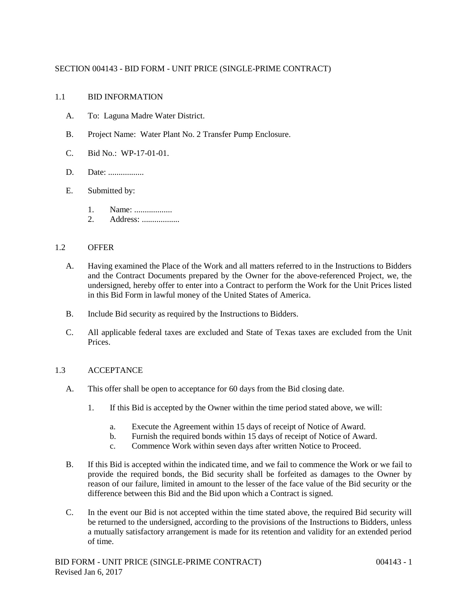## SECTION 004143 - BID FORM - UNIT PRICE (SINGLE-PRIME CONTRACT)

## 1.1 BID INFORMATION

- A. To: Laguna Madre Water District.
- B. Project Name: Water Plant No. 2 Transfer Pump Enclosure.
- C. Bid No.: WP-17-01-01.
- D. Date: ..................
- E. Submitted by:
	- 1. Name: ..................
	- 2. Address: ..................

## 1.2 OFFER

- A. Having examined the Place of the Work and all matters referred to in the Instructions to Bidders and the Contract Documents prepared by the Owner for the above-referenced Project, we, the undersigned, hereby offer to enter into a Contract to perform the Work for the Unit Prices listed in this Bid Form in lawful money of the United States of America.
- B. Include Bid security as required by the Instructions to Bidders.
- C. All applicable federal taxes are excluded and State of Texas taxes are excluded from the Unit Prices.

## 1.3 ACCEPTANCE

- A. This offer shall be open to acceptance for 60 days from the Bid closing date.
	- 1. If this Bid is accepted by the Owner within the time period stated above, we will:
		- a. Execute the Agreement within 15 days of receipt of Notice of Award.
		- b. Furnish the required bonds within 15 days of receipt of Notice of Award.
		- c. Commence Work within seven days after written Notice to Proceed.
- B. If this Bid is accepted within the indicated time, and we fail to commence the Work or we fail to provide the required bonds, the Bid security shall be forfeited as damages to the Owner by reason of our failure, limited in amount to the lesser of the face value of the Bid security or the difference between this Bid and the Bid upon which a Contract is signed.
- C. In the event our Bid is not accepted within the time stated above, the required Bid security will be returned to the undersigned, according to the provisions of the Instructions to Bidders, unless a mutually satisfactory arrangement is made for its retention and validity for an extended period of time.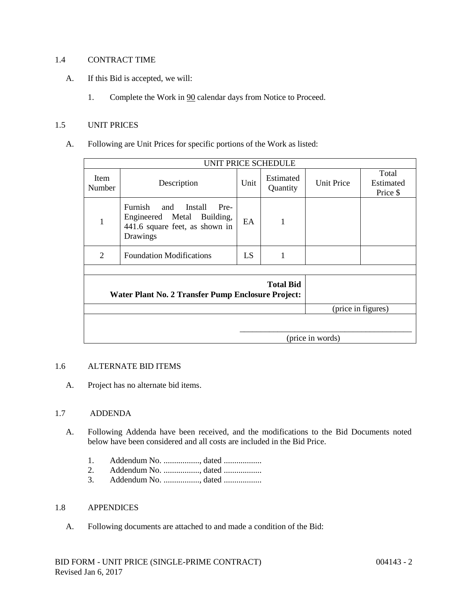## 1.4 CONTRACT TIME

- A. If this Bid is accepted, we will:
	- 1. Complete the Work in 90 calendar days from Notice to Proceed.

#### 1.5 UNIT PRICES

A. Following are Unit Prices for specific portions of the Work as listed:

| UNIT PRICE SCHEDULE                                                    |                                                                                                            |      |                       |                   |                                |
|------------------------------------------------------------------------|------------------------------------------------------------------------------------------------------------|------|-----------------------|-------------------|--------------------------------|
| Item<br>Number                                                         | Description                                                                                                | Unit | Estimated<br>Quantity | <b>Unit Price</b> | Total<br>Estimated<br>Price \$ |
| 1                                                                      | Furnish and<br>Install<br>Pre-<br>Engineered Metal Building,<br>441.6 square feet, as shown in<br>Drawings | EA   | 1                     |                   |                                |
| 2                                                                      | <b>Foundation Modifications</b>                                                                            | LS   | 1                     |                   |                                |
|                                                                        |                                                                                                            |      |                       |                   |                                |
| <b>Total Bid</b><br>Water Plant No. 2 Transfer Pump Enclosure Project: |                                                                                                            |      |                       |                   |                                |
| (price in figures)                                                     |                                                                                                            |      |                       |                   |                                |
|                                                                        |                                                                                                            |      |                       |                   |                                |
| (price in words)                                                       |                                                                                                            |      |                       |                   |                                |

#### 1.6 ALTERNATE BID ITEMS

A. Project has no alternate bid items.

## 1.7 ADDENDA

- A. Following Addenda have been received, and the modifications to the Bid Documents noted below have been considered and all costs are included in the Bid Price.
	- 1. Addendum No. ................., dated ..................
	- 2. Addendum No. ................., dated ..................
	- 3. Addendum No. ................., dated ..................

#### 1.8 APPENDICES

A. Following documents are attached to and made a condition of the Bid: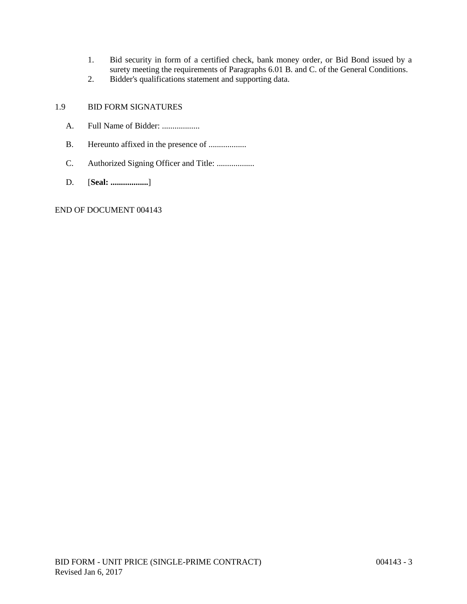- 1. Bid security in form of a certified check, bank money order, or Bid Bond issued by a surety meeting the requirements of Paragraphs 6.01 B. and C. of the General Conditions.
- 2. Bidder's qualifications statement and supporting data.

# 1.9 BID FORM SIGNATURES

- A. Full Name of Bidder: ...................
- B. Hereunto affixed in the presence of ..................
- C. Authorized Signing Officer and Title: ..................
- D. [**Seal: ..................**]

## END OF DOCUMENT 004143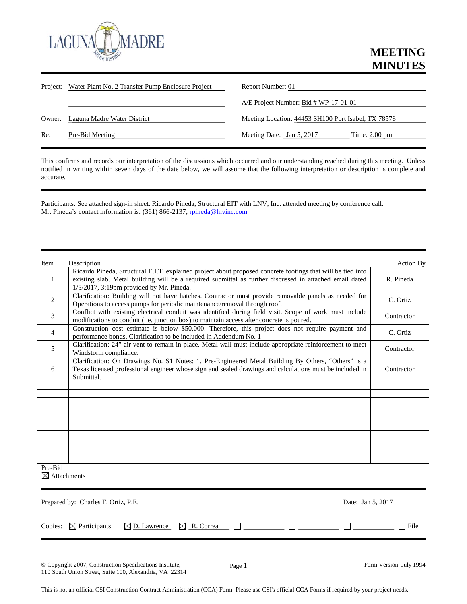

|        | Project: Water Plant No. 2 Transfer Pump Enclosure Project | Report Number: 01                                    |
|--------|------------------------------------------------------------|------------------------------------------------------|
|        |                                                            | $A/E$ Project Number: Bid # WP-17-01-01              |
| Owner: | Laguna Madre Water District                                | Meeting Location: 44453 SH100 Port Isabel, TX 78578  |
| Re:    | Pre-Bid Meeting                                            | Meeting Date: Jan 5, 2017<br>Time: $2:00 \text{ pm}$ |

This confirms and records our interpretation of the discussions which occurred and our understanding reached during this meeting. Unless notified in writing within seven days of the date below, we will assume that the following interpretation or description is complete and accurate.

Participants: See attached sign-in sheet. Ricardo Pineda, Structural EIT with LNV, Inc. attended meeting by conference call. Mr. Pineda's contact information is: (361) 866-2137[; rpineda@lnvinc.com](mailto:rpineda@lnvinc.com)

| Item           | Description                                                                                                                                                                                                                                                           | Action By  |
|----------------|-----------------------------------------------------------------------------------------------------------------------------------------------------------------------------------------------------------------------------------------------------------------------|------------|
| 1              | Ricardo Pineda, Structural E.I.T. explained project about proposed concrete footings that will be tied into<br>existing slab. Metal building will be a required submittal as further discussed in attached email dated<br>$1/5/2017$ , 3:19pm provided by Mr. Pineda. | R. Pineda  |
| $\overline{2}$ | Clarification: Building will not have hatches. Contractor must provide removable panels as needed for<br>Operations to access pumps for periodic maintenance/removal through roof.                                                                                    | C. Ortiz   |
| 3              | Conflict with existing electrical conduit was identified during field visit. Scope of work must include<br>modifications to conduit (i.e. junction box) to maintain access after concrete is poured.                                                                  | Contractor |
| 4              | Construction cost estimate is below \$50,000. Therefore, this project does not require payment and<br>performance bonds. Clarification to be included in Addendum No. 1                                                                                               | C. Ortiz   |
| 5              | Clarification: 24" air vent to remain in place. Metal wall must include appropriate reinforcement to meet<br>Windstorm compliance.                                                                                                                                    | Contractor |
| 6              | Clarification: On Drawings No. S1 Notes: 1. Pre-Engineered Metal Building By Others, "Others" is a<br>Texas licensed professional engineer whose sign and sealed drawings and calculations must be included in<br>Submittal.                                          | Contractor |
|                |                                                                                                                                                                                                                                                                       |            |
|                |                                                                                                                                                                                                                                                                       |            |
|                |                                                                                                                                                                                                                                                                       |            |
|                |                                                                                                                                                                                                                                                                       |            |
|                |                                                                                                                                                                                                                                                                       |            |
|                |                                                                                                                                                                                                                                                                       |            |
|                |                                                                                                                                                                                                                                                                       |            |
| Pre-Bid        |                                                                                                                                                                                                                                                                       |            |

 $\boxtimes$  Attachments

| Prepared by: Charles F. Ortiz, P.E. |                                                                                       |  | Date: Jan 5, 2017 |      |
|-------------------------------------|---------------------------------------------------------------------------------------|--|-------------------|------|
|                                     | Copies: $\boxtimes$ Participants $\boxtimes$ D. Lawrence $\boxtimes$ R. Correa $\Box$ |  |                   | File |
|                                     |                                                                                       |  |                   |      |

Page 1 Form Version: July 1994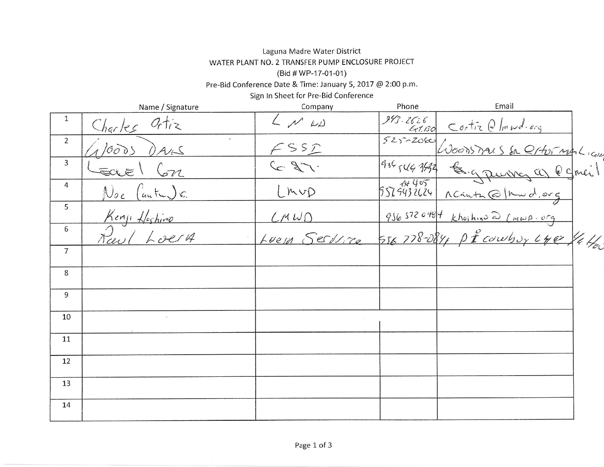# Laguna Madre Water District WATER PLANT NO. 2 TRANSFER PUMP ENCLOSURE PROJECT (Bid # WP-17-01-01)

Pre-Bid Conference Date & Time: January 5, 2017 @ 2:00 p.m.

Sign In Sheet for Pre-Bid Conference

|                | Name / Signature                 | Company         | Phone | Email                                                                  |  |
|----------------|----------------------------------|-----------------|-------|------------------------------------------------------------------------|--|
| 1              | Charles Ortiz                    | $L \sim \omega$ |       | 243-2626 Contiz @Immd.org                                              |  |
| $\overline{2}$ | 10005<br>DARS                    | FSSD            |       | 525-2060 Woodshaus Sa Q1405 mg Licente<br>956546942 & gruves as esmeil |  |
| 3              | Earel Con                        | $C_{2}$         |       |                                                                        |  |
| $\overline{4}$ | $\mathcal{N}_{0c}$ (anter) $c$ . | ImvD            |       |                                                                        |  |
| 5              | Kenji Hoshino                    | CMWO            |       | 9565720484 Khoihino @ (MWA. org                                        |  |
| 6              | Paul Loery                       |                 |       | LEEM SECUTE 556778-084, PICOWbuy Lye 44                                |  |
| $\overline{7}$ |                                  |                 |       |                                                                        |  |
| 8              |                                  |                 |       |                                                                        |  |
| 9              |                                  |                 |       |                                                                        |  |
| 10             |                                  |                 |       |                                                                        |  |
| 11             |                                  |                 |       |                                                                        |  |
| 12             |                                  |                 |       |                                                                        |  |
| 13             |                                  |                 |       |                                                                        |  |
| 14             |                                  |                 |       |                                                                        |  |